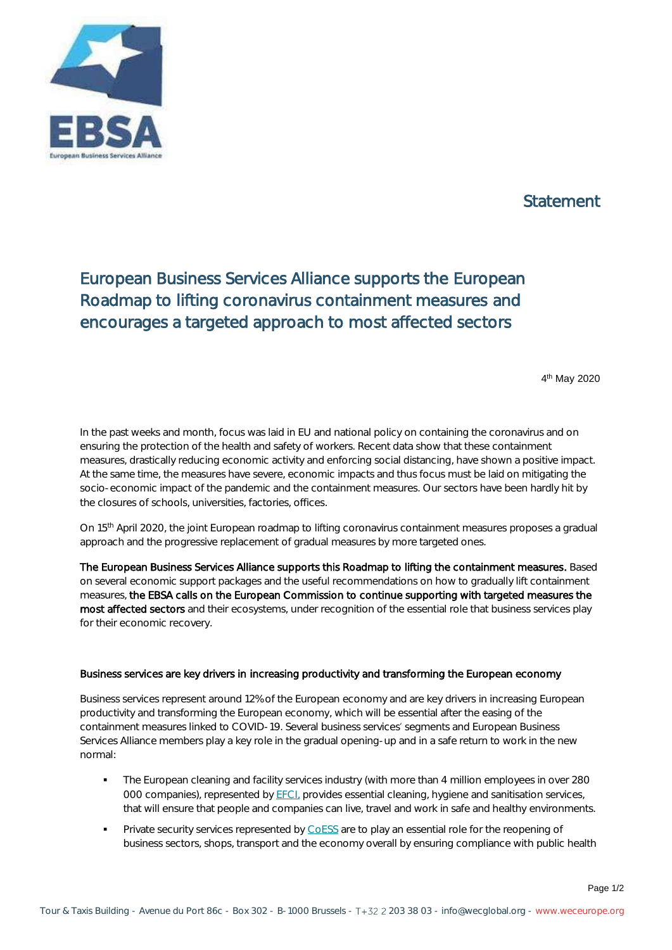

## Statement

## European Business Services Alliance supports the European Roadmap to lifting coronavirus containment measures and encourages a targeted approach to most affected sectors

4 th May 2020

In the past weeks and month, focus was laid in EU and national policy on containing the coronavirus and on ensuring the protection of the health and safety of workers. Recent data show that these containment measures, drastically reducing economic activity and enforcing social distancing, have shown a positive impact. At the same time, the measures have severe, economic impacts and thus focus must be laid on mitigating the socio-economic impact of the pandemic and the containment measures. Our sectors have been hardly hit by the closures of schools, universities, factories, offices.

On 15th April 2020, the joint European roadmap to lifting coronavirus containment measures proposes a gradual approach and the progressive replacement of gradual measures by more targeted ones.

The European Business Services Alliance supports this Roadmap to lifting the containment measures. Based on several economic support packages and the useful recommendations on how to gradually lift containment measures, the EBSA calls on the European Commission to continue supporting with targeted measures the most affected sectors and their ecosystems, under recognition of the essential role that business services play for their economic recovery.

## Business services are key drivers in increasing productivity and transforming the European economy

Business services represent around 12% of the European economy and are key drivers in increasing European productivity and transforming the European economy, which will be essential after the easing of the containment measures linked to COVID-19. Several business services segments and European Business Services Alliance members play a key role in the gradual opening-up and in a safe return to work in the new normal:

- **•** The European cleaning and facility services industry (with more than 4 million employees in over 280 000 companies), represented by [EFCI,](https://www.efci.eu/) provides essential cleaning, hygiene and sanitisation services, that will ensure that people and companies can live, travel and work in safe and healthy environments.
- **Private security services represented b[y CoESS](https://www.coess.org/) are to play an essential role for the reopening of** business sectors, shops, transport and the economy overall by ensuring compliance with public health